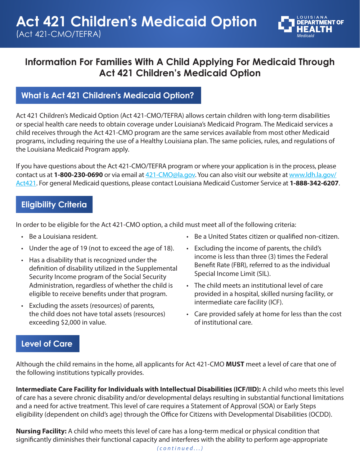

# **Information For Families With A Child Applying For Medicaid Through Act 421 Children's Medicaid Option**

#### **What is Act 421 Children's Medicaid Option?**

Act 421 Children's Medicaid Option (Act 421-CMO/TEFRA) allows certain children with long-term disabilities or special health care needs to obtain coverage under Louisiana's Medicaid Program. The Medicaid services a child receives through the Act 421-CMO program are the same services available from most other Medicaid programs, including requiring the use of a Healthy Louisiana plan. The same policies, rules, and regulations of the Louisiana Medicaid Program apply.

If you have questions about the Act 421-CMO/TEFRA program or where your application is in the process, please contact us at **1-800-230-0690** or via email at 421-CMO@la.gov. You can also visit our website at www.ldh.la.gov/ Act421. For general Medicaid questions, please contact Louisiana Medicaid Customer Service at **1-888-342-6207**.

### **Eligibility Criteria**

In order to be eligible for the Act 421-CMO option, a child must meet all of the following criteria:

- Be a Louisiana resident.
- Under the age of 19 (not to exceed the age of 18).
- Has a disability that is recognized under the definition of disability utilized in the Supplemental Security Income program of the Social Security Administration, regardless of whether the child is eligible to receive benefits under that program.
- Excluding the assets (resources) of parents, the child does not have total assets (resources) exceeding \$2,000 in value.
- Be a United States citizen or qualified non-citizen.
- Excluding the income of parents, the child's income is less than three (3) times the Federal Benefit Rate (FBR), referred to as the individual Special Income Limit (SIL).
- The child meets an institutional level of care provided in a hospital, skilled nursing facility, or intermediate care facility (ICF).
- Care provided safely at home for less than the cost of institutional care.

#### **Level of Care**

Although the child remains in the home, all applicants for Act 421-CMO **MUST** meet a level of care that one of the following institutions typically provides.

**Intermediate Care Facility for Individuals with Intellectual Disabilities (ICF/IID):** A child who meets this level of care has a severe chronic disability and/or developmental delays resulting in substantial functional limitations and a need for active treatment. This level of care requires a Statement of Approval (SOA) or Early Steps eligibility (dependent on child's age) through the Office for Citizens with Developmental Disabilities (OCDD).

**Nursing Facility:** A child who meets this level of care has a long-term medical or physical condition that significantly diminishes their functional capacity and interferes with the ability to perform age-appropriate